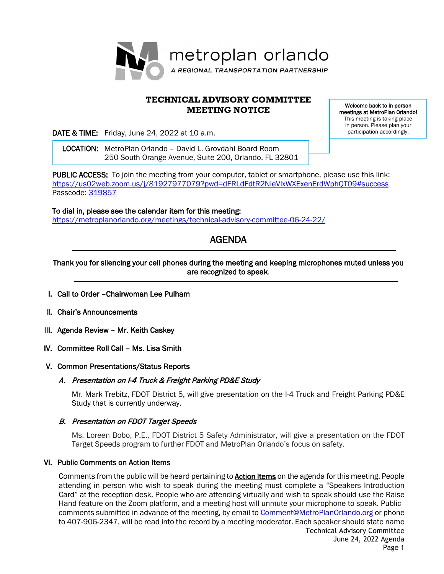

# **TECHNICAL ADVISORY COMMITTEE MEETING NOTICE**

Welcome back to in person meetings at MetroPlan Orlando! This meeting is taking place in person. Please plan your participation accordingly.

DATE & TIME: Friday, June 24, 2022 at 10 a.m.

 LOCATION: MetroPlan Orlando – David L. Grovdahl Board Room 250 South Orange Avenue, Suite 200, Orlando, FL 32801

PUBLIC ACCESS: To join the meeting from your computer, tablet or smartphone, please use this link: https://us02web.zoom.us/j/81927977079?pwd=dFRLdFdtR2NieVlxWXExenErdWphQT09#success Passcode: 319857

To dial in, please see the calendar item for this meeting: https://metroplanorlando.org/meetings/technical-advisory-committee-06-24-22/

# AGENDA

Thank you for silencing your cell phones during the meeting and keeping microphones muted unless you are recognized to speak.

- I. Call to Order –Chairwoman Lee Pulham
- II. Chair's Announcements
- III. Agenda Review Mr. Keith Caskey
- IV. Committee Roll Call Ms. Lisa Smith

# V. Common Presentations/Status Reports

# A. Presentation on I-4 Truck & Freight Parking PD&E Study

Mr. Mark Trebitz, FDOT District 5, will give presentation on the I-4 Truck and Freight Parking PD&E Study that is currently underway.

# B. Presentation on FDOT Target Speeds

Ms. Loreen Bobo, P.E., FDOT District 5 Safety Administrator, will give a presentation on the FDOT Target Speeds program to further FDOT and MetroPlan Orlando's focus on safety.

#### VI. Public Comments on Action Items

Comments from the public will be heard pertaining to **Action Items** on the agenda for this meeting. People attending in person who wish to speak during the meeting must complete a "Speakers Introduction Card" at the reception desk. People who are attending virtually and wish to speak should use the Raise Hand feature on the Zoom platform, and a meeting host will unmute your microphone to speak. Public comments submitted in advance of the meeting, by email to Comment@MetroPlanOrlando.org or phone to 407-906-2347, will be read into the record by a meeting moderator. Each speaker should state name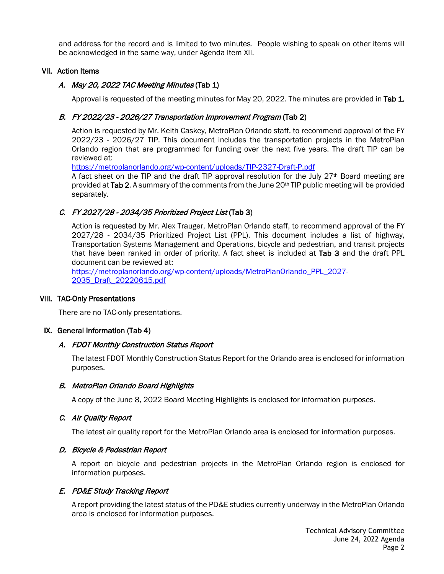and address for the record and is limited to two minutes. People wishing to speak on other items will be acknowledged in the same way, under Agenda Item XII.

# VII. Action Items

# A. May 20, 2022 TAC Meeting Minutes (Tab 1)

Approval is requested of the meeting minutes for May 20, 2022. The minutes are provided in Tab 1.

# B. FY 2022/23 - 2026/27 Transportation Improvement Program (Tab 2)

Action is requested by Mr. Keith Caskey, MetroPlan Orlando staff, to recommend approval of the FY 2022/23 - 2026/27 TIP. This document includes the transportation projects in the MetroPlan Orlando region that are programmed for funding over the next five years. The draft TIP can be reviewed at:

<https://metroplanorlando.org/wp-content/uploads/TIP-2327-Draft-P.pdf>

A fact sheet on the TIP and the draft TIP approval resolution for the July  $27<sup>th</sup>$  Board meeting are provided at Tab 2. A summary of the comments from the June 20<sup>th</sup> TIP public meeting will be provided separately.

# C. FY 2027/28 - 2034/35 Prioritized Project List (Tab 3)

Action is requested by Mr. Alex Trauger, MetroPlan Orlando staff, to recommend approval of the FY 2027/28 - 2034/35 Prioritized Project List (PPL). This document includes a list of highway, Transportation Systems Management and Operations, bicycle and pedestrian, and transit projects that have been ranked in order of priority. A fact sheet is included at Tab 3 and the draft PPL document can be reviewed at:

[https://metroplanorlando.org/wp-content/uploads/MetroPlanOrlando\\_PPL\\_2027-](https://metroplanorlando.org/wp-content/uploads/MetroPlanOrlando_PPL_2027-2035_Draft_20220615.pdf) [2035\\_Draft\\_20220615.pdf](https://metroplanorlando.org/wp-content/uploads/MetroPlanOrlando_PPL_2027-2035_Draft_20220615.pdf)

# VIII. TAC-Only Presentations

There are no TAC-only presentations.

# IX. General Information (Tab 4)

# A. FDOT Monthly Construction Status Report

The latest FDOT Monthly Construction Status Report for the Orlando area is enclosed for information purposes.

# B. MetroPlan Orlando Board Highlights

A copy of the June 8, 2022 Board Meeting Highlights is enclosed for information purposes.

# C. Air Quality Report

The latest air quality report for the MetroPlan Orlando area is enclosed for information purposes.

# D. Bicycle & Pedestrian Report

A report on bicycle and pedestrian projects in the MetroPlan Orlando region is enclosed for information purposes.

# E. PD&E Study Tracking Report

A report providing the latest status of the PD&E studies currently underway in the MetroPlan Orlando area is enclosed for information purposes.